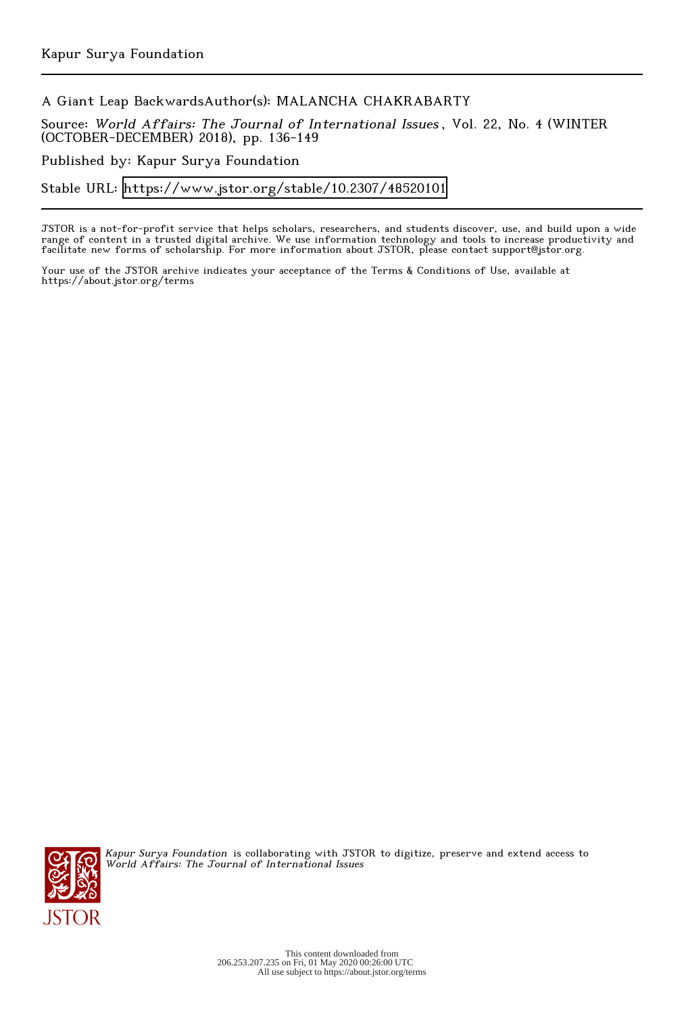### A Giant Leap BackwardsAuthor(s): MALANCHA CHAKRABARTY

Source: World Affairs: The Journal of International Issues , Vol. 22, No. 4 (WINTER (OCTOBER-DECEMBER) 2018), pp. 136-149

Published by: Kapur Surya Foundation

Stable URL:<https://www.jstor.org/stable/10.2307/48520101>

JSTOR is a not-for-profit service that helps scholars, researchers, and students discover, use, and build upon a wide range of content in a trusted digital archive. We use information technology and tools to increase productivity and facilitate new forms of scholarship. For more information about JSTOR, please contact support@jstor.org.

Your use of the JSTOR archive indicates your acceptance of the Terms & Conditions of Use, available at https://about.jstor.org/terms



Kapur Surya Foundation is collaborating with JSTOR to digitize, preserve and extend access to World Affairs: The Journal of International Issues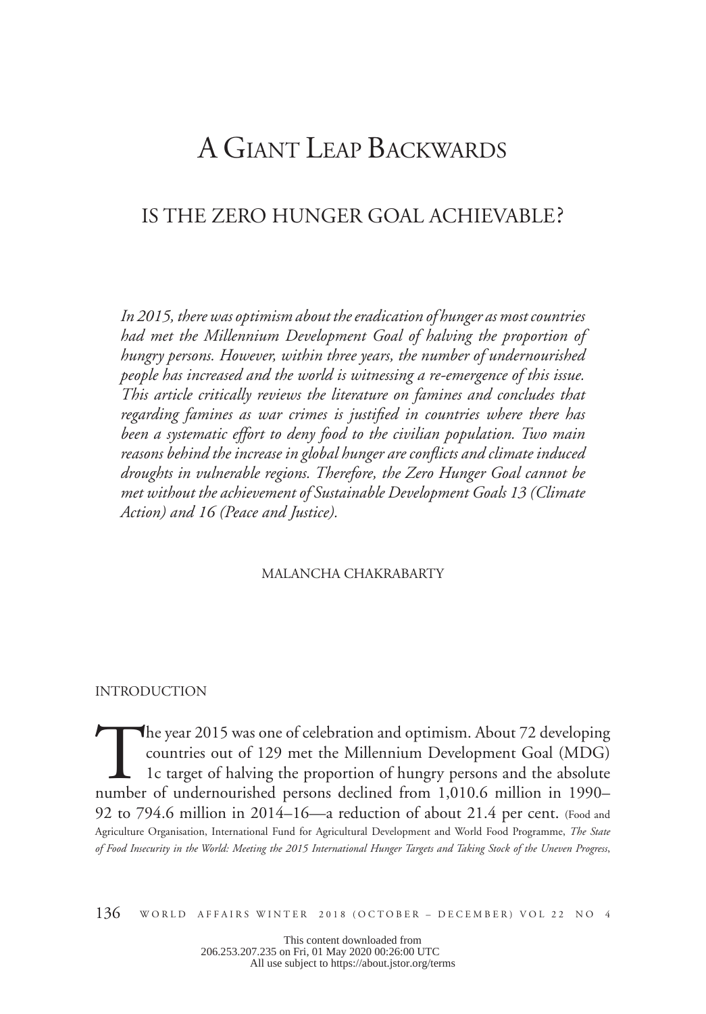# A GIANT LEAP BACKWARDS

## IS THE ZERO HUNGER GOAL ACHIEVABLE?

*In 2015, there was optimism about the eradication of hunger as most countries had met the Millennium Development Goal of halving the proportion of hungry persons. However, within three years, the number of undernourished people has increased and the world is witnessing a re-emergence of this issue. This article critically reviews the literature on famines and concludes that*  regarding famines as war crimes is justified in countries where there has *been a systematic effort to deny food to the civilian population. Two main*  reasons behind the increase in global hunger are conflicts and climate induced *droughts in vulnerable regions. Therefore, the Zero Hunger Goal cannot be met without the achievement of Sustainable Development Goals 13 (Climate Action) and 16 (Peace and Justice).*

#### MALANCHA CHAKRABARTY

#### INTRODUCTION

The year 2015 was one of celebration and optimism. About 72 developing<br>countries out of 129 met the Millennium Development Goal (MDG)<br>1c target of halving the proportion of hungry persons and the absolute<br>number of underno countries out of 129 met the Millennium Development Goal (MDG) 1c target of halving the proportion of hungry persons and the absolute number of undernourished persons declined from 1,010.6 million in 1990– 92 to 794.6 million in 2014–16—a reduction of about 21.4 per cent. (Food and Agriculture Organisation, International Fund for Agricultural Development and World Food Programme, *The State of Food Insecurity in the World: Meeting the 2015 International Hunger Targets and Taking Stock of the Uneven Progress*,

136 WORLD AFFAIRS WINTER 2018 (OCTOBER – DECEMBER) VOL 22 NO 4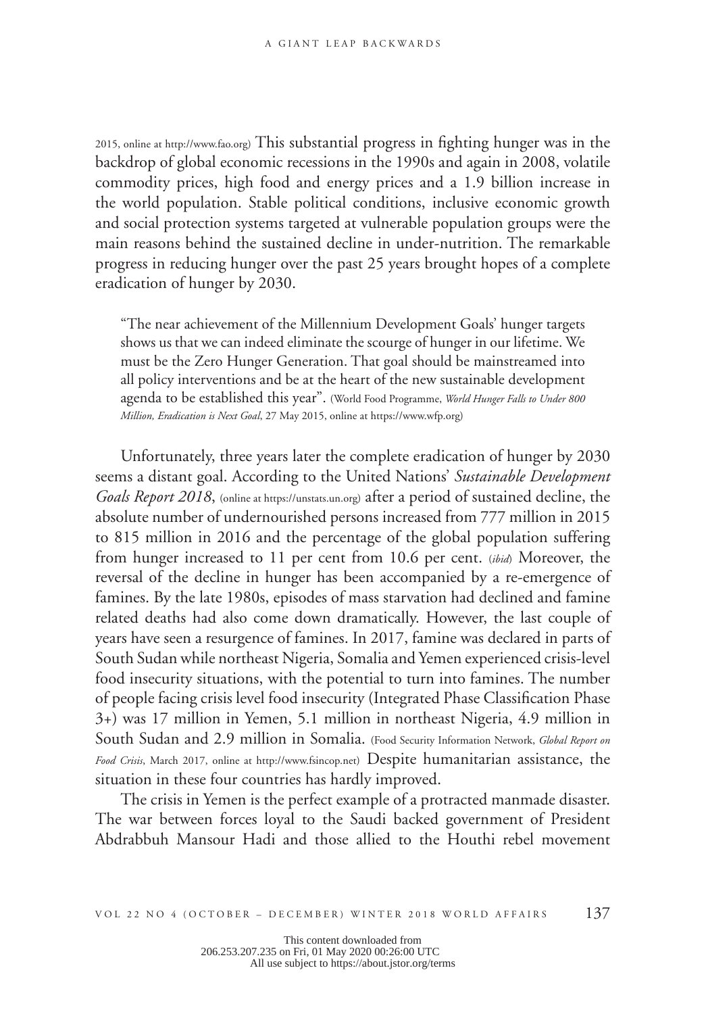2015, online at http://www.fao.org) This substantial progress in fighting hunger was in the backdrop of global economic recessions in the 1990s and again in 2008, volatile commodity prices, high food and energy prices and a 1.9 billion increase in the world population. Stable political conditions, inclusive economic growth and social protection systems targeted at vulnerable population groups were the main reasons behind the sustained decline in under-nutrition. The remarkable progress in reducing hunger over the past 25 years brought hopes of a complete eradication of hunger by 2030.

"The near achievement of the Millennium Development Goals' hunger targets shows us that we can indeed eliminate the scourge of hunger in our lifetime. We must be the Zero Hunger Generation. That goal should be mainstreamed into all policy interventions and be at the heart of the new sustainable development agenda to be established this year". (World Food Programme, *World Hunger Falls to Under 800 Million, Eradication is Next Goal*, 27 May 2015, online at https://www.wfp.org)

Unfortunately, three years later the complete eradication of hunger by 2030 seems a distant goal. According to the United Nations' *Sustainable Development Goals Report 2018*, (online at https://unstats.un.org) after a period of sustained decline, the absolute number of undernourished persons increased from 777 million in 2015 to 815 million in 2016 and the percentage of the global population suffering from hunger increased to 11 per cent from 10.6 per cent. (*ibid*) Moreover, the reversal of the decline in hunger has been accompanied by a re-emergence of famines. By the late 1980s, episodes of mass starvation had declined and famine related deaths had also come down dramatically. However, the last couple of years have seen a resurgence of famines. In 2017, famine was declared in parts of South Sudan while northeast Nigeria, Somalia and Yemen experienced crisis-level food insecurity situations, with the potential to turn into famines. The number of people facing crisis level food insecurity (Integrated Phase Classification Phase 3+) was 17 million in Yemen, 5.1 million in northeast Nigeria, 4.9 million in South Sudan and 2.9 million in Somalia. (Food Security Information Network, *Global Report on Food Crisis*, March 2017, online at http://www.fsincop.net) Despite humanitarian assistance, the situation in these four countries has hardly improved.

The crisis in Yemen is the perfect example of a protracted manmade disaster. The war between forces loyal to the Saudi backed government of President Abdrabbuh Mansour Hadi and those allied to the Houthi rebel movement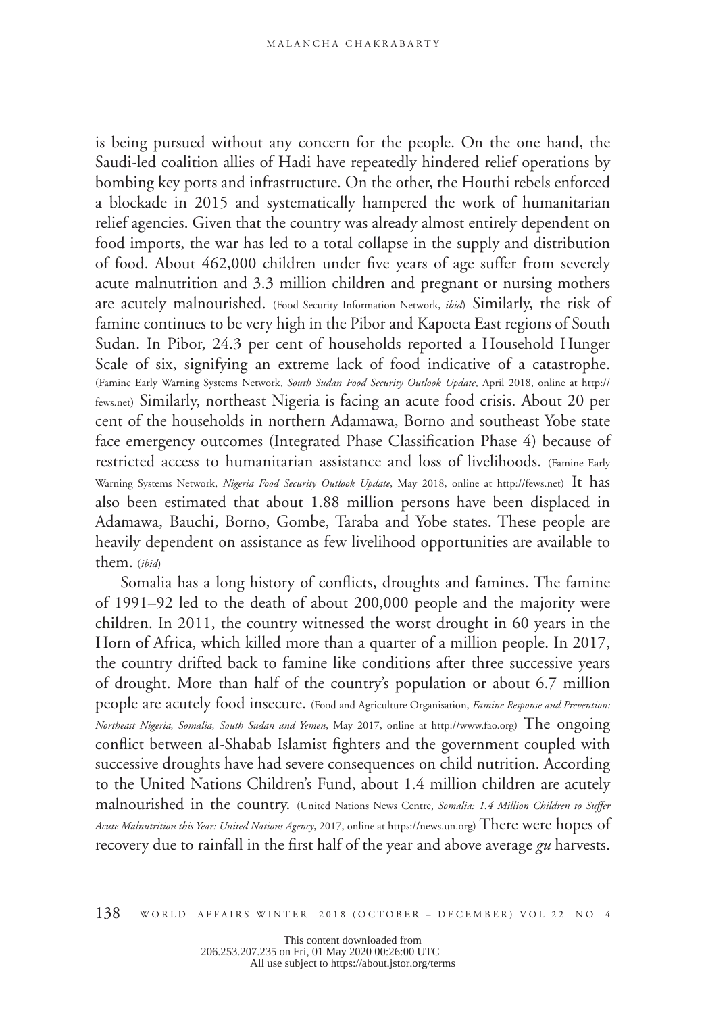is being pursued without any concern for the people. On the one hand, the Saudi-led coalition allies of Hadi have repeatedly hindered relief operations by bombing key ports and infrastructure. On the other, the Houthi rebels enforced a blockade in 2015 and systematically hampered the work of humanitarian relief agencies. Given that the country was already almost entirely dependent on food imports, the war has led to a total collapse in the supply and distribution of food. About 462,000 children under five years of age suffer from severely acute malnutrition and 3.3 million children and pregnant or nursing mothers are acutely malnourished. (Food Security Information Network, *ibid*) Similarly, the risk of famine continues to be very high in the Pibor and Kapoeta East regions of South Sudan. In Pibor, 24.3 per cent of households reported a Household Hunger Scale of six, signifying an extreme lack of food indicative of a catastrophe. (Famine Early Warning Systems Network, *South Sudan Food Security Outlook Update*, April 2018, online at http:// fews.net) Similarly, northeast Nigeria is facing an acute food crisis. About 20 per cent of the households in northern Adamawa, Borno and southeast Yobe state face emergency outcomes (Integrated Phase Classification Phase 4) because of restricted access to humanitarian assistance and loss of livelihoods. (Famine Early Warning Systems Network, *Nigeria Food Security Outlook Update*, May 2018, online at http://fews.net) It has also been estimated that about 1.88 million persons have been displaced in Adamawa, Bauchi, Borno, Gombe, Taraba and Yobe states. These people are heavily dependent on assistance as few livelihood opportunities are available to them. (*ibid*)

Somalia has a long history of conflicts, droughts and famines. The famine of 1991–92 led to the death of about 200,000 people and the majority were children. In 2011, the country witnessed the worst drought in 60 years in the Horn of Africa, which killed more than a quarter of a million people. In 2017, the country drifted back to famine like conditions after three successive years of drought. More than half of the country's population or about 6.7 million people are acutely food insecure. (Food and Agriculture Organisation, *Famine Response and Prevention: Northeast Nigeria, Somalia, South Sudan and Yemen*, May 2017, online at http://www.fao.org) The ongoing conflict between al-Shabab Islamist fighters and the government coupled with successive droughts have had severe consequences on child nutrition. According to the United Nations Children's Fund, about 1.4 million children are acutely malnourished in the country. (United Nations News Centre, *Somalia: 1.4 Million Children to Suffer Acute Malnutrition this Year: United Nations Agency*, 2017, online at https://news.un.org) There were hopes of recovery due to rainfall in the first half of the year and above average *gu* harvests.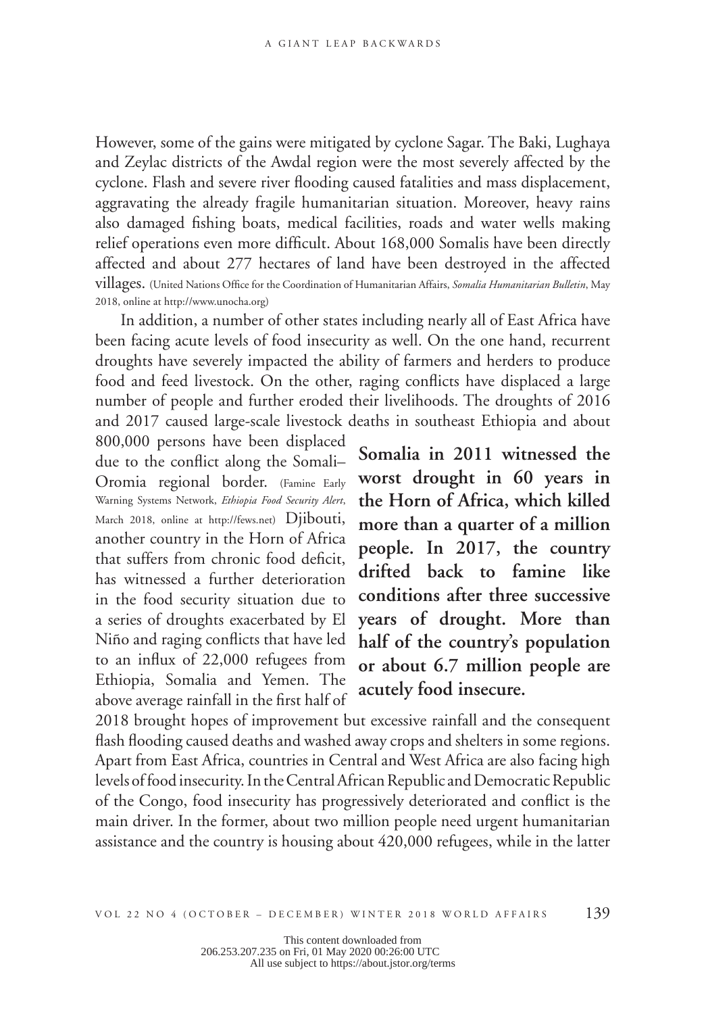However, some of the gains were mitigated by cyclone Sagar. The Baki, Lughaya and Zeylac districts of the Awdal region were the most severely affected by the cyclone. Flash and severe river flooding caused fatalities and mass displacement, aggravating the already fragile humanitarian situation. Moreover, heavy rains also damaged fishing boats, medical facilities, roads and water wells making relief operations even more difficult. About 168,000 Somalis have been directly affected and about 277 hectares of land have been destroyed in the affected villages. (United Nations Office for the Coordination of Humanitarian Affairs, *Somalia Humanitarian Bulletin*, May 2018, online at http://www.unocha.org)

In addition, a number of other states including nearly all of East Africa have been facing acute levels of food insecurity as well. On the one hand, recurrent droughts have severely impacted the ability of farmers and herders to produce food and feed livestock. On the other, raging conflicts have displaced a large number of people and further eroded their livelihoods. The droughts of 2016 and 2017 caused large-scale livestock deaths in southeast Ethiopia and about

800,000 persons have been displaced due to the conflict along the Somali-Oromia regional border. (Famine Early Warning Systems Network, *Ethiopia Food Security Alert*, March 2018, online at http://fews.net) Djibouti, another country in the Horn of Africa that suffers from chronic food deficit, has witnessed a further deterioration in the food security situation due to a series of droughts exacerbated by El Niño and raging conflicts that have led to an influx of  $22,000$  refugees from Ethiopia, Somalia and Yemen. The above average rainfall in the first half of

**Somalia in 2011 witnessed the worst drought in 60 years in the Horn of Africa, which killed more than a quarter of a million people. In 2017, the country drifted back to famine like conditions after three successive years of drought. More than half of the country's population or about 6.7 million people are acutely food insecure.**

2018 brought hopes of improvement but excessive rainfall and the consequent flash flooding caused deaths and washed away crops and shelters in some regions. Apart from East Africa, countries in Central and West Africa are also facing high levels of food insecurity. In the Central African Republic and Democratic Republic of the Congo, food insecurity has progressively deteriorated and conflict is the main driver. In the former, about two million people need urgent humanitarian assistance and the country is housing about 420,000 refugees, while in the latter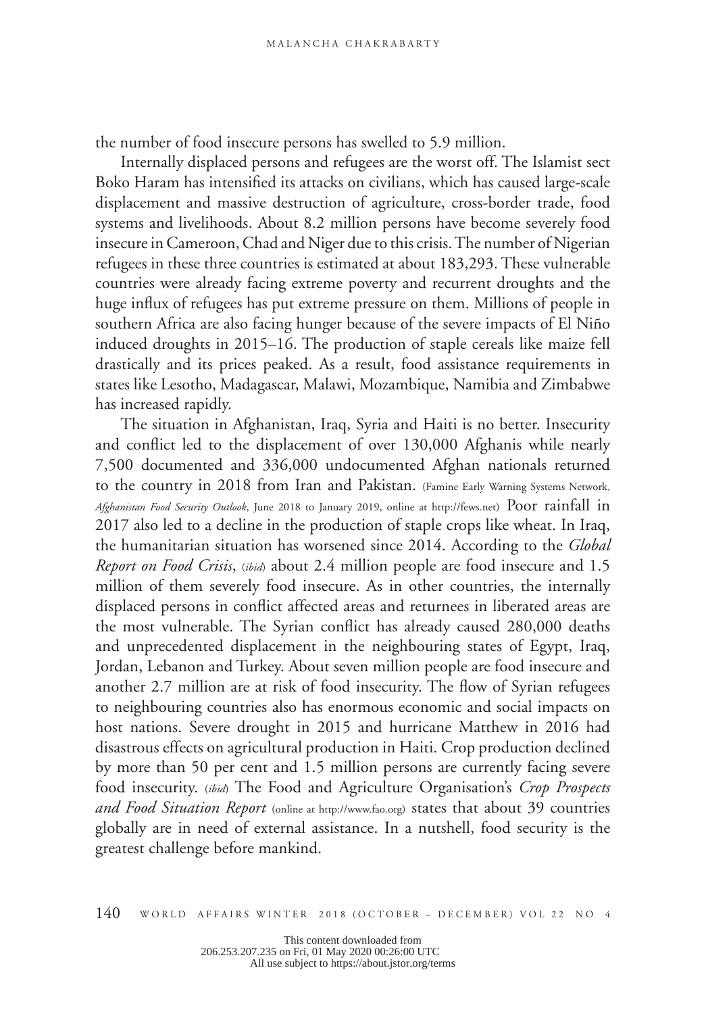the number of food insecure persons has swelled to 5.9 million.

Internally displaced persons and refugees are the worst off. The Islamist sect Boko Haram has intensified its attacks on civilians, which has caused large-scale displacement and massive destruction of agriculture, cross-border trade, food systems and livelihoods. About 8.2 million persons have become severely food insecure in Cameroon, Chad and Niger due to this crisis. The number of Nigerian refugees in these three countries is estimated at about 183,293. These vulnerable countries were already facing extreme poverty and recurrent droughts and the huge influx of refugees has put extreme pressure on them. Millions of people in southern Africa are also facing hunger because of the severe impacts of El Niño induced droughts in 2015–16. The production of staple cereals like maize fell drastically and its prices peaked. As a result, food assistance requirements in states like Lesotho, Madagascar, Malawi, Mozambique, Namibia and Zimbabwe has increased rapidly.

The situation in Afghanistan, Iraq, Syria and Haiti is no better. Insecurity and conflict led to the displacement of over 130,000 Afghanis while nearly 7,500 documented and 336,000 undocumented Afghan nationals returned to the country in 2018 from Iran and Pakistan. (Famine Early Warning Systems Network, *Afghanistan Food Security Outlook*, June 2018 to January 2019, online at http://fews.net) Poor rainfall in 2017 also led to a decline in the production of staple crops like wheat. In Iraq, the humanitarian situation has worsened since 2014. According to the *Global Report on Food Crisis*, (*ibid*) about 2.4 million people are food insecure and 1.5 million of them severely food insecure. As in other countries, the internally displaced persons in conflict affected areas and returnees in liberated areas are the most vulnerable. The Syrian conflict has already caused 280,000 deaths and unprecedented displacement in the neighbouring states of Egypt, Iraq, Jordan, Lebanon and Turkey. About seven million people are food insecure and another 2.7 million are at risk of food insecurity. The flow of Syrian refugees to neighbouring countries also has enormous economic and social impacts on host nations. Severe drought in 2015 and hurricane Matthew in 2016 had disastrous effects on agricultural production in Haiti. Crop production declined by more than 50 per cent and 1.5 million persons are currently facing severe food insecurity. (*ibid*) The Food and Agriculture Organisation's *Crop Prospects and Food Situation Report* (online at http://www.fao.org) states that about 39 countries globally are in need of external assistance. In a nutshell, food security is the greatest challenge before mankind.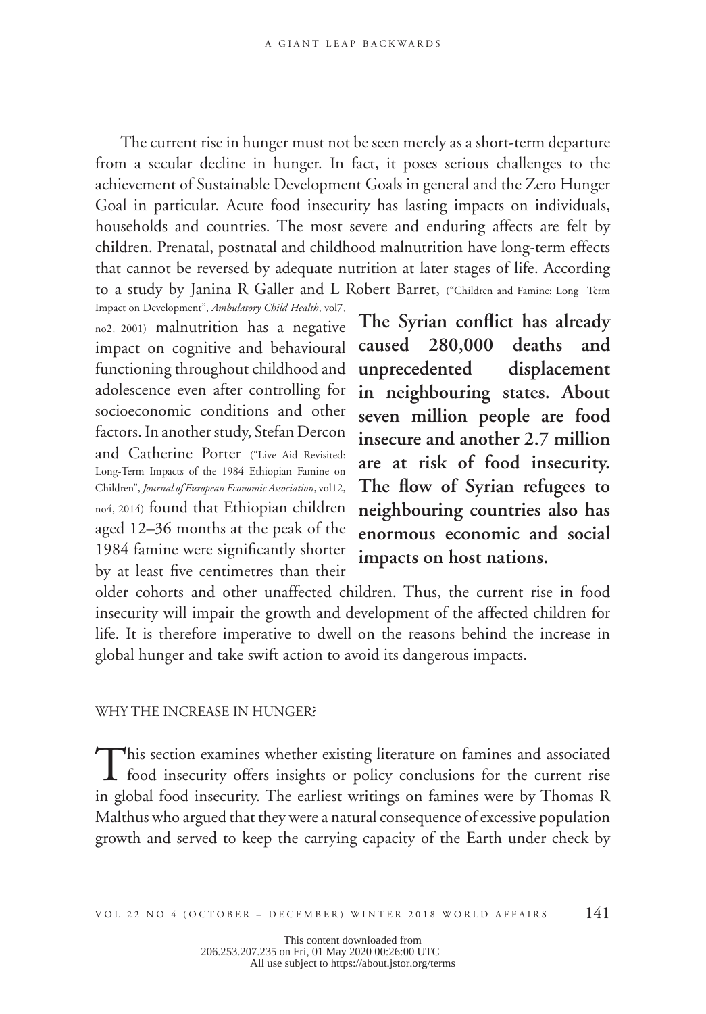The current rise in hunger must not be seen merely as a short-term departure from a secular decline in hunger. In fact, it poses serious challenges to the achievement of Sustainable Development Goals in general and the Zero Hunger Goal in particular. Acute food insecurity has lasting impacts on individuals, households and countries. The most severe and enduring affects are felt by children. Prenatal, postnatal and childhood malnutrition have long-term effects that cannot be reversed by adequate nutrition at later stages of life. According to a study by Janina R Galler and L Robert Barret, ("Children and Famine: Long Term Impact on Development", *Ambulatory Child Health*, vol7,

no2, 2001) malnutrition has a negative impact on cognitive and behavioural functioning throughout childhood and adolescence even after controlling for socioeconomic conditions and other factors. In another study, Stefan Dercon and Catherine Porter ("Live Aid Revisited: Long-Term Impacts of the 1984 Ethiopian Famine on Children", *Journal of European Economic Association*, vol12, no4, 2014) found that Ethiopian children aged 12–36 months at the peak of the 1984 famine were significantly shorter by at least five centimetres than their

The Syrian conflict has already **caused 280,000 deaths and unprecedented displacement in neighbouring states. About seven million people are food insecure and another 2.7 million are at risk of food insecurity.**  The flow of Syrian refugees to **neighbouring countries also has enormous economic and social impacts on host nations.**

older cohorts and other unaffected children. Thus, the current rise in food insecurity will impair the growth and development of the affected children for life. It is therefore imperative to dwell on the reasons behind the increase in global hunger and take swift action to avoid its dangerous impacts.

#### WHY THE INCREASE IN HUNGER?

This section examines whether existing literature on famines and associated food insecurity offers insights or policy conclusions for the current rise in global food insecurity. The earliest writings on famines were by Thomas R Malthus who argued that they were a natural consequence of excessive population growth and served to keep the carrying capacity of the Earth under check by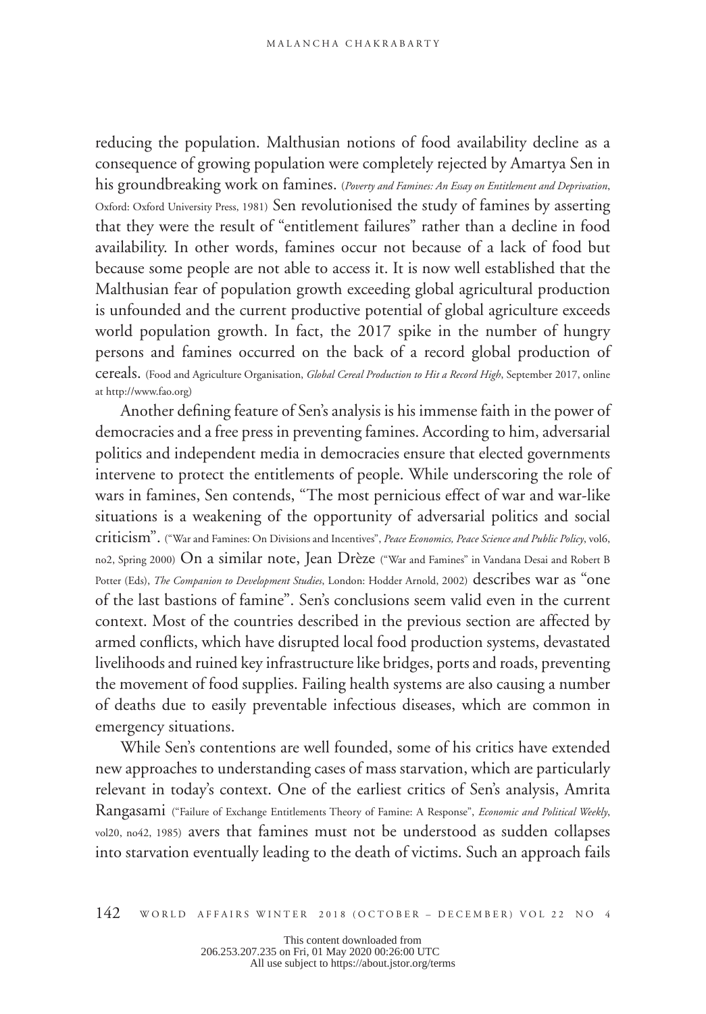reducing the population. Malthusian notions of food availability decline as a consequence of growing population were completely rejected by Amartya Sen in his groundbreaking work on famines. (*Poverty and Famines: An Essay on Entitlement and Deprivation*, Oxford: Oxford University Press, 1981) Sen revolutionised the study of famines by asserting that they were the result of "entitlement failures" rather than a decline in food availability. In other words, famines occur not because of a lack of food but because some people are not able to access it. It is now well established that the Malthusian fear of population growth exceeding global agricultural production is unfounded and the current productive potential of global agriculture exceeds world population growth. In fact, the 2017 spike in the number of hungry persons and famines occurred on the back of a record global production of cereals. (Food and Agriculture Organisation, *Global Cereal Production to Hit a Record High*, September 2017, online at http://www.fao.org)

Another defining feature of Sen's analysis is his immense faith in the power of democracies and a free press in preventing famines. According to him, adversarial politics and independent media in democracies ensure that elected governments intervene to protect the entitlements of people. While underscoring the role of wars in famines, Sen contends, "The most pernicious effect of war and war-like situations is a weakening of the opportunity of adversarial politics and social criticism". ("War and Famines: On Divisions and Incentives", *Peace Economics, Peace Science and Public Policy*, vol6, no2, Spring 2000) On a similar note, Jean Drèze ("War and Famines" in Vandana Desai and Robert B Potter (Eds), *The Companion to Development Studies*, London: Hodder Arnold, 2002) describes war as "one of the last bastions of famine". Sen's conclusions seem valid even in the current context. Most of the countries described in the previous section are affected by armed conflicts, which have disrupted local food production systems, devastated livelihoods and ruined key infrastructure like bridges, ports and roads, preventing the movement of food supplies. Failing health systems are also causing a number of deaths due to easily preventable infectious diseases, which are common in emergency situations.

While Sen's contentions are well founded, some of his critics have extended new approaches to understanding cases of mass starvation, which are particularly relevant in today's context. One of the earliest critics of Sen's analysis, Amrita Rangasami ("Failure of Exchange Entitlements Theory of Famine: A Response", *Economic and Political Weekly*, vol20, no42, 1985) avers that famines must not be understood as sudden collapses into starvation eventually leading to the death of victims. Such an approach fails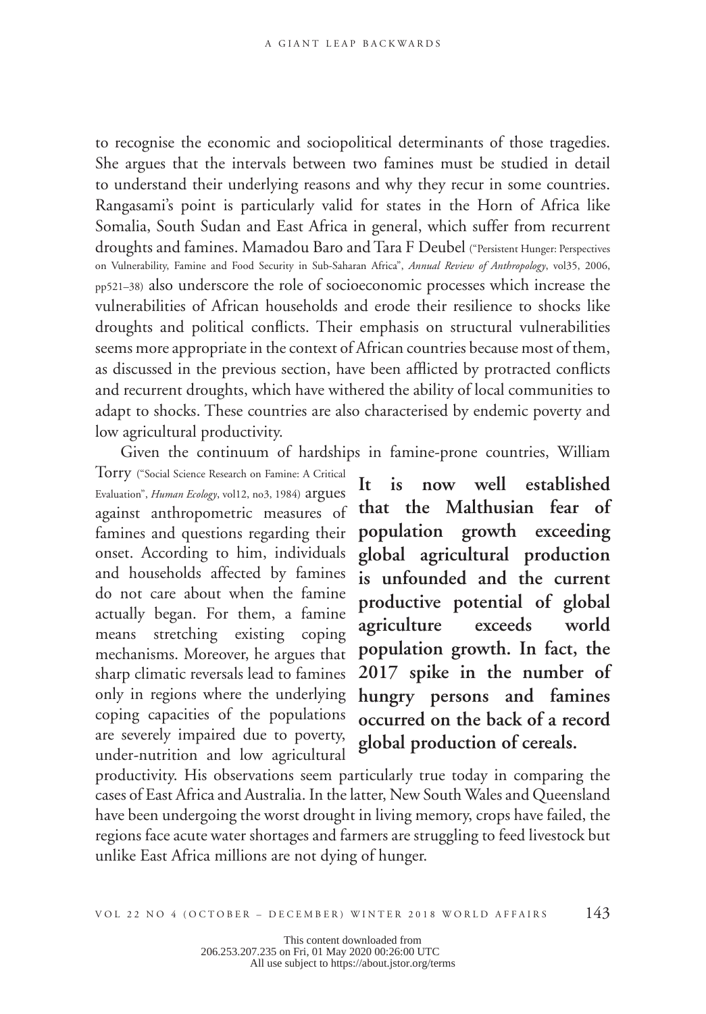to recognise the economic and sociopolitical determinants of those tragedies. She argues that the intervals between two famines must be studied in detail to understand their underlying reasons and why they recur in some countries. Rangasami's point is particularly valid for states in the Horn of Africa like Somalia, South Sudan and East Africa in general, which suffer from recurrent droughts and famines. Mamadou Baro and Tara F Deubel ("Persistent Hunger: Perspectives on Vulnerability, Famine and Food Security in Sub-Saharan Africa", *Annual Review of Anthropology*, vol35, 2006, pp521–38) also underscore the role of socioeconomic processes which increase the vulnerabilities of African households and erode their resilience to shocks like droughts and political conflicts. Their emphasis on structural vulnerabilities seems more appropriate in the context of African countries because most of them, as discussed in the previous section, have been afflicted by protracted conflicts and recurrent droughts, which have withered the ability of local communities to adapt to shocks. These countries are also characterised by endemic poverty and low agricultural productivity.

Given the continuum of hardships in famine-prone countries, William

Torry ("Social Science Research on Famine: A Critical Evaluation", *Human Ecology*, vol12, no3, 1984) argues against anthropometric measures of famines and questions regarding their onset. According to him, individuals and households affected by famines do not care about when the famine actually began. For them, a famine means stretching existing coping mechanisms. Moreover, he argues that sharp climatic reversals lead to famines only in regions where the underlying coping capacities of the populations are severely impaired due to poverty, under-nutrition and low agricultural

**It is now well established that the Malthusian fear of population growth exceeding global agricultural production is unfounded and the current productive potential of global agriculture exceeds world population growth. In fact, the 2017 spike in the number of hungry persons and famines occurred on the back of a record global production of cereals.**

productivity. His observations seem particularly true today in comparing the cases of East Africa and Australia. In the latter, New South Wales and Queensland have been undergoing the worst drought in living memory, crops have failed, the regions face acute water shortages and farmers are struggling to feed livestock but unlike East Africa millions are not dying of hunger.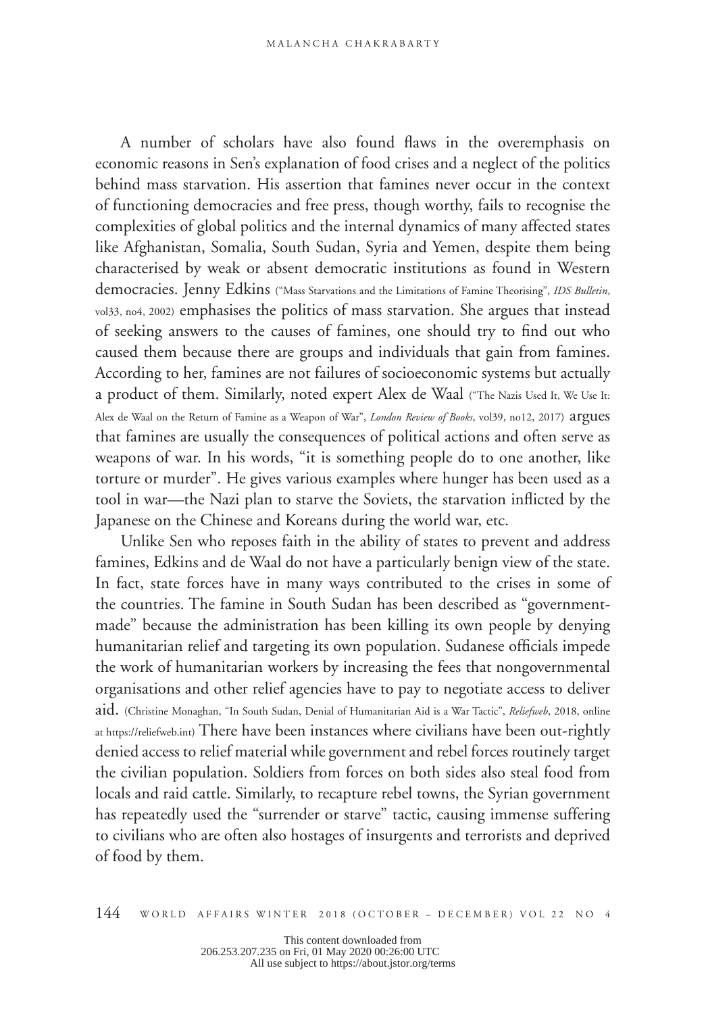A number of scholars have also found flaws in the overemphasis on economic reasons in Sen's explanation of food crises and a neglect of the politics behind mass starvation. His assertion that famines never occur in the context of functioning democracies and free press, though worthy, fails to recognise the complexities of global politics and the internal dynamics of many affected states like Afghanistan, Somalia, South Sudan, Syria and Yemen, despite them being characterised by weak or absent democratic institutions as found in Western democracies. Jenny Edkins ("Mass Starvations and the Limitations of Famine Theorising", *IDS Bulletin*, vol33, no4, 2002) emphasises the politics of mass starvation. She argues that instead of seeking answers to the causes of famines, one should try to find out who caused them because there are groups and individuals that gain from famines. According to her, famines are not failures of socioeconomic systems but actually a product of them. Similarly, noted expert Alex de Waal ("The Nazis Used It, We Use It: Alex de Waal on the Return of Famine as a Weapon of War", *London Review of Books*, vol39, no12, 2017) argues that famines are usually the consequences of political actions and often serve as weapons of war. In his words, "it is something people do to one another, like torture or murder". He gives various examples where hunger has been used as a tool in war—the Nazi plan to starve the Soviets, the starvation inflicted by the Japanese on the Chinese and Koreans during the world war, etc.

Unlike Sen who reposes faith in the ability of states to prevent and address famines, Edkins and de Waal do not have a particularly benign view of the state. In fact, state forces have in many ways contributed to the crises in some of the countries. The famine in South Sudan has been described as "governmentmade" because the administration has been killing its own people by denying humanitarian relief and targeting its own population. Sudanese officials impede the work of humanitarian workers by increasing the fees that nongovernmental organisations and other relief agencies have to pay to negotiate access to deliver aid. (Christine Monaghan, "In South Sudan, Denial of Humanitarian Aid is a War Tactic", *Reliefweb*, 2018, online at https://reliefweb.int) There have been instances where civilians have been out-rightly denied access to relief material while government and rebel forces routinely target the civilian population. Soldiers from forces on both sides also steal food from locals and raid cattle. Similarly, to recapture rebel towns, the Syrian government has repeatedly used the "surrender or starve" tactic, causing immense suffering to civilians who are often also hostages of insurgents and terrorists and deprived of food by them.

144 WORLD AFFAIRS WINTER 2018 (OCTOBER – DECEMBER) VOL 22 NO 4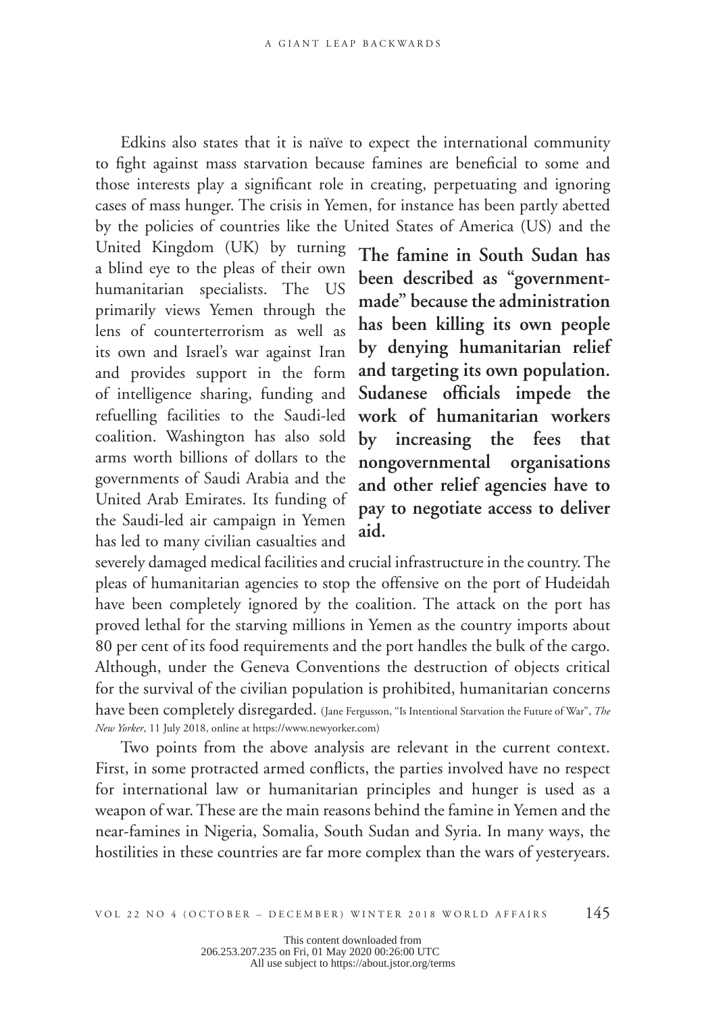Edkins also states that it is naïve to expect the international community to fight against mass starvation because famines are beneficial to some and those interests play a significant role in creating, perpetuating and ignoring cases of mass hunger. The crisis in Yemen, for instance has been partly abetted by the policies of countries like the United States of America (US) and the

United Kingdom (UK) by turning a blind eye to the pleas of their own humanitarian specialists. The US primarily views Yemen through the lens of counterterrorism as well as its own and Israel's war against Iran and provides support in the form of intelligence sharing, funding and refuelling facilities to the Saudi-led coalition. Washington has also sold arms worth billions of dollars to the governments of Saudi Arabia and the United Arab Emirates. Its funding of the Saudi-led air campaign in Yemen has led to many civilian casualties and

**The famine in South Sudan has been described as "governmentmade" because the administration has been killing its own people by denying humanitarian relief and targeting its own population.**  Sudanese officials impede the **work of humanitarian workers by increasing the fees that nongovernmental organisations and other relief agencies have to pay to negotiate access to deliver aid.**

severely damaged medical facilities and crucial infrastructure in the country. The pleas of humanitarian agencies to stop the offensive on the port of Hudeidah have been completely ignored by the coalition. The attack on the port has proved lethal for the starving millions in Yemen as the country imports about 80 per cent of its food requirements and the port handles the bulk of the cargo. Although, under the Geneva Conventions the destruction of objects critical for the survival of the civilian population is prohibited, humanitarian concerns have been completely disregarded. (Jane Fergusson, "Is Intentional Starvation the Future of War", *The New Yorker*, 11 July 2018, online at https://www.newyorker.com)

Two points from the above analysis are relevant in the current context. First, in some protracted armed conflicts, the parties involved have no respect for international law or humanitarian principles and hunger is used as a weapon of war. These are the main reasons behind the famine in Yemen and the near-famines in Nigeria, Somalia, South Sudan and Syria. In many ways, the hostilities in these countries are far more complex than the wars of yesteryears.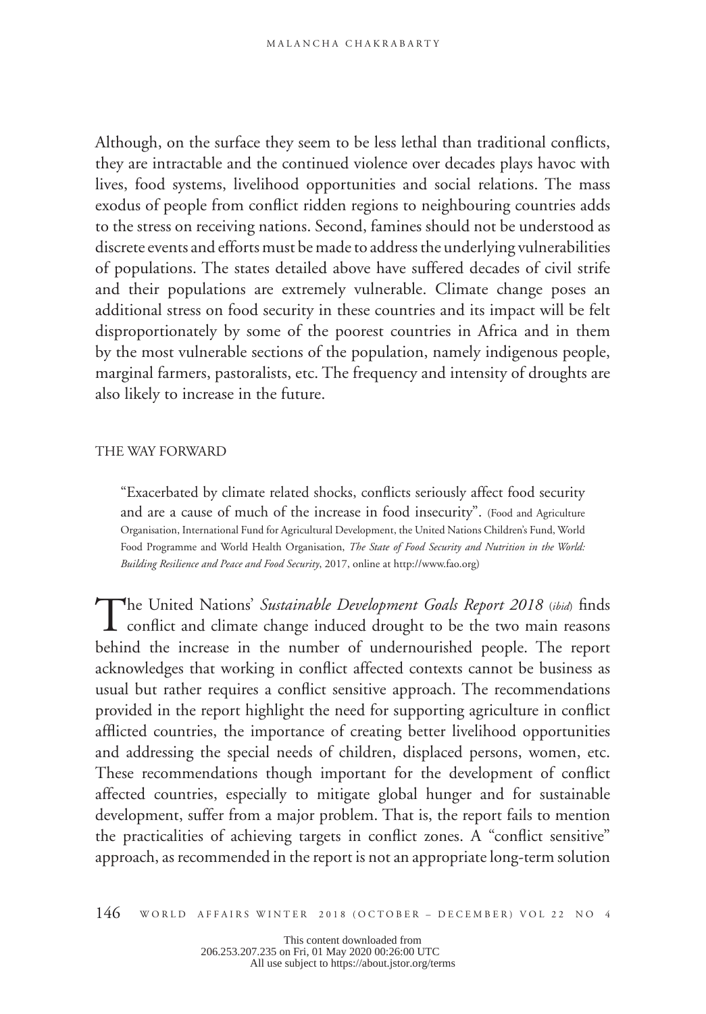Although, on the surface they seem to be less lethal than traditional conflicts, they are intractable and the continued violence over decades plays havoc with lives, food systems, livelihood opportunities and social relations. The mass exodus of people from conflict ridden regions to neighbouring countries adds to the stress on receiving nations. Second, famines should not be understood as discrete events and efforts must be made to address the underlying vulnerabilities of populations. The states detailed above have suffered decades of civil strife and their populations are extremely vulnerable. Climate change poses an additional stress on food security in these countries and its impact will be felt disproportionately by some of the poorest countries in Africa and in them by the most vulnerable sections of the population, namely indigenous people, marginal farmers, pastoralists, etc. The frequency and intensity of droughts are also likely to increase in the future.

#### THE WAY FORWARD

"Exacerbated by climate related shocks, conflicts seriously affect food security and are a cause of much of the increase in food insecurity". (Food and Agriculture Organisation, International Fund for Agricultural Development, the United Nations Children's Fund, World Food Programme and World Health Organisation, *The State of Food Security and Nutrition in the World: Building Resilience and Peace and Food Security*, 2017, online at http://www.fao.org)

The United Nations' Sustainable Development Goals Report 2018 (*ibid*) finds  $\perp$  conflict and climate change induced drought to be the two main reasons behind the increase in the number of undernourished people. The report acknowledges that working in conflict affected contexts cannot be business as usual but rather requires a conflict sensitive approach. The recommendations provided in the report highlight the need for supporting agriculture in conflict afflicted countries, the importance of creating better livelihood opportunities and addressing the special needs of children, displaced persons, women, etc. These recommendations though important for the development of conflict affected countries, especially to mitigate global hunger and for sustainable development, suffer from a major problem. That is, the report fails to mention the practicalities of achieving targets in conflict zones. A "conflict sensitive" approach, as recommended in the report is not an appropriate long-term solution

146 WORLD AFFAIRS WINTER 2018 (OCTOBER – DECEMBER) VOL 22 NO 4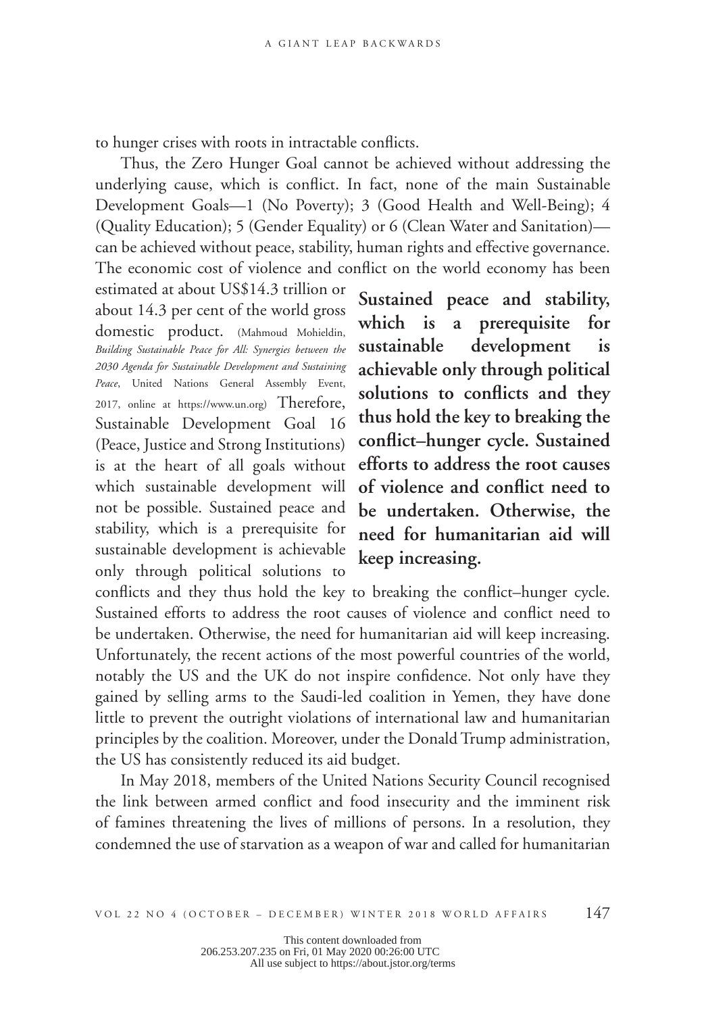to hunger crises with roots in intractable conflicts.

Thus, the Zero Hunger Goal cannot be achieved without addressing the underlying cause, which is conflict. In fact, none of the main Sustainable Development Goals—1 (No Poverty); 3 (Good Health and Well-Being); 4 (Quality Education); 5 (Gender Equality) or 6 (Clean Water and Sanitation) can be achieved without peace, stability, human rights and effective governance. The economic cost of violence and conflict on the world economy has been

estimated at about US\$14.3 trillion or about 14.3 per cent of the world gross domestic product. (Mahmoud Mohieldin, *Building Sustainable Peace for All: Synergies between the 2030 Agenda for Sustainable Development and Sustaining Peace*, United Nations General Assembly Event, 2017, online at https://www.un.org) Therefore, Sustainable Development Goal 16 (Peace, Justice and Strong Institutions) is at the heart of all goals without which sustainable development will not be possible. Sustained peace and stability, which is a prerequisite for sustainable development is achievable only through political solutions to

**Sustained peace and stability, which is a prerequisite for sustainable development is achievable only through political**  solutions to conflicts and they **thus hold the key to breaking the**  conflict–hunger cycle. Sustained **efforts to address the root causes**  of violence and conflict need to **be undertaken. Otherwise, the need for humanitarian aid will keep increasing.**

conflicts and they thus hold the key to breaking the conflict–hunger cycle. Sustained efforts to address the root causes of violence and conflict need to be undertaken. Otherwise, the need for humanitarian aid will keep increasing. Unfortunately, the recent actions of the most powerful countries of the world, notably the US and the UK do not inspire confidence. Not only have they gained by selling arms to the Saudi-led coalition in Yemen, they have done little to prevent the outright violations of international law and humanitarian principles by the coalition. Moreover, under the Donald Trump administration, the US has consistently reduced its aid budget.

In May 2018, members of the United Nations Security Council recognised the link between armed conflict and food insecurity and the imminent risk of famines threatening the lives of millions of persons. In a resolution, they condemned the use of starvation as a weapon of war and called for humanitarian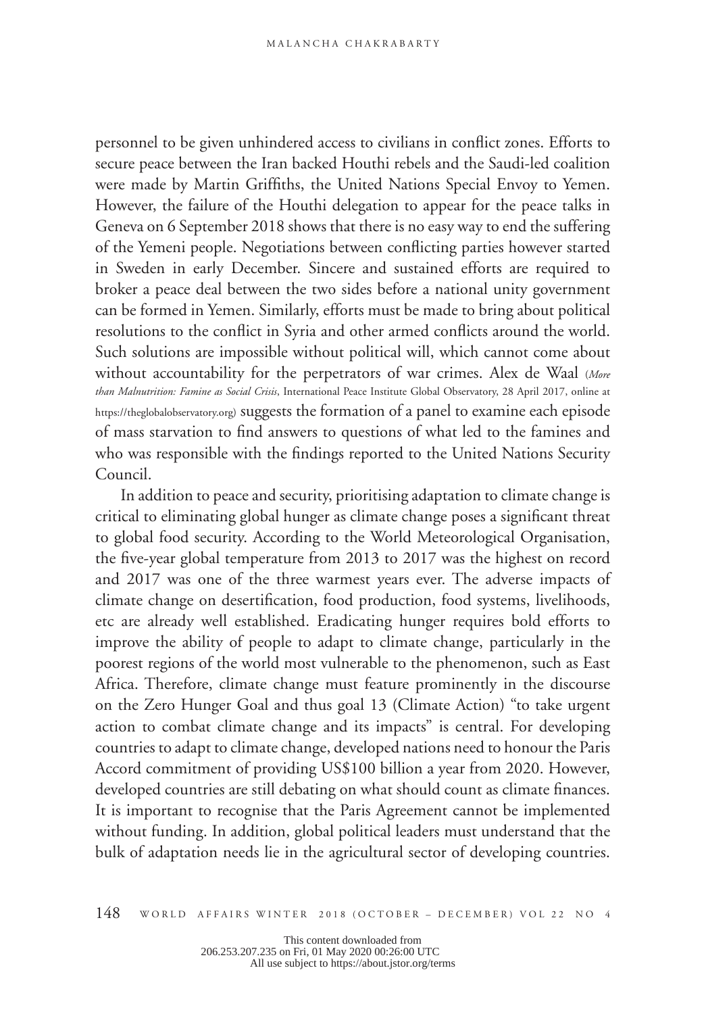personnel to be given unhindered access to civilians in conflict zones. Efforts to secure peace between the Iran backed Houthi rebels and the Saudi-led coalition were made by Martin Griffiths, the United Nations Special Envoy to Yemen. However, the failure of the Houthi delegation to appear for the peace talks in Geneva on 6 September 2018 shows that there is no easy way to end the suffering of the Yemeni people. Negotiations between conflicting parties however started in Sweden in early December. Sincere and sustained efforts are required to broker a peace deal between the two sides before a national unity government can be formed in Yemen. Similarly, efforts must be made to bring about political resolutions to the conflict in Syria and other armed conflicts around the world. Such solutions are impossible without political will, which cannot come about without accountability for the perpetrators of war crimes. Alex de Waal (*More than Malnutrition: Famine as Social Crisis*, International Peace Institute Global Observatory, 28 April 2017, online at https://theglobalobservatory.org) suggests the formation of a panel to examine each episode of mass starvation to find answers to questions of what led to the famines and who was responsible with the findings reported to the United Nations Security Council.

In addition to peace and security, prioritising adaptation to climate change is critical to eliminating global hunger as climate change poses a significant threat to global food security. According to the World Meteorological Organisation, the five-year global temperature from 2013 to 2017 was the highest on record and 2017 was one of the three warmest years ever. The adverse impacts of climate change on desertification, food production, food systems, livelihoods, etc are already well established. Eradicating hunger requires bold efforts to improve the ability of people to adapt to climate change, particularly in the poorest regions of the world most vulnerable to the phenomenon, such as East Africa. Therefore, climate change must feature prominently in the discourse on the Zero Hunger Goal and thus goal 13 (Climate Action) "to take urgent action to combat climate change and its impacts" is central. For developing countries to adapt to climate change, developed nations need to honour the Paris Accord commitment of providing US\$100 billion a year from 2020. However, developed countries are still debating on what should count as climate finances. It is important to recognise that the Paris Agreement cannot be implemented without funding. In addition, global political leaders must understand that the bulk of adaptation needs lie in the agricultural sector of developing countries.